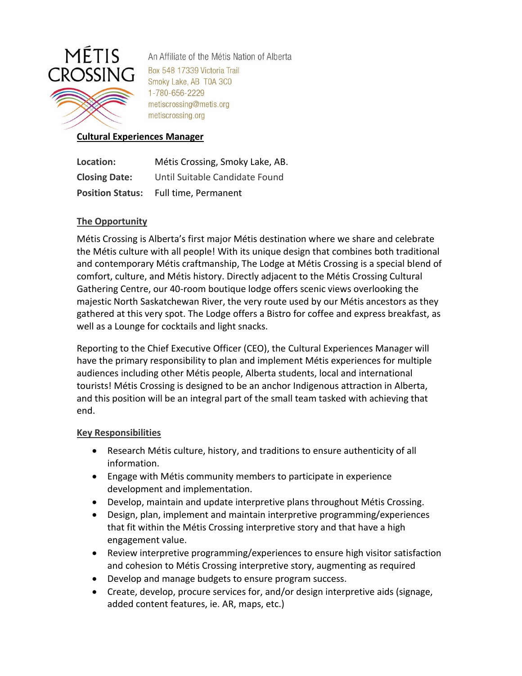

An Affiliate of the Métis Nation of Alberta Box 548 17339 Victoria Trail Smoky Lake, AB T0A 3C0 1-780-656-2229 metiscrossing@metis.org metiscrossing.org

### **Cultural Experiences Manager**

| Location:               | Métis Crossing, Smoky Lake, AB. |
|-------------------------|---------------------------------|
| <b>Closing Date:</b>    | Until Suitable Candidate Found  |
| <b>Position Status:</b> | Full time, Permanent            |

### **The Opportunity**

Métis Crossing is Alberta's first major Métis destination where we share and celebrate the Métis culture with all people! With its unique design that combines both traditional and contemporary Métis craftmanship, The Lodge at Métis Crossing is a special blend of comfort, culture, and Métis history. Directly adjacent to the Métis Crossing Cultural Gathering Centre, our 40-room boutique lodge offers scenic views overlooking the majestic North Saskatchewan River, the very route used by our Métis ancestors as they gathered at this very spot. The Lodge offers a Bistro for coffee and express breakfast, as well as a Lounge for cocktails and light snacks.

Reporting to the Chief Executive Officer (CEO), the Cultural Experiences Manager will have the primary responsibility to plan and implement Métis experiences for multiple audiences including other Métis people, Alberta students, local and international tourists! Métis Crossing is designed to be an anchor Indigenous attraction in Alberta, and this position will be an integral part of the small team tasked with achieving that end.

### **Key Responsibilities**

- Research Métis culture, history, and traditions to ensure authenticity of all information.
- Engage with Métis community members to participate in experience development and implementation.
- Develop, maintain and update interpretive plans throughout Métis Crossing.
- Design, plan, implement and maintain interpretive programming/experiences that fit within the Métis Crossing interpretive story and that have a high engagement value.
- Review interpretive programming/experiences to ensure high visitor satisfaction and cohesion to Métis Crossing interpretive story, augmenting as required
- Develop and manage budgets to ensure program success.
- Create, develop, procure services for, and/or design interpretive aids (signage, added content features, ie. AR, maps, etc.)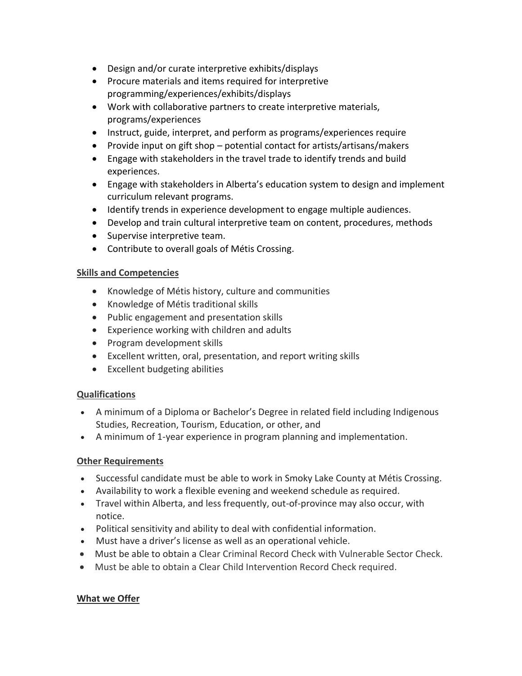- Design and/or curate interpretive exhibits/displays
- Procure materials and items required for interpretive programming/experiences/exhibits/displays
- Work with collaborative partners to create interpretive materials, programs/experiences
- Instruct, guide, interpret, and perform as programs/experiences require
- Provide input on gift shop potential contact for artists/artisans/makers
- Engage with stakeholders in the travel trade to identify trends and build experiences.
- Engage with stakeholders in Alberta's education system to design and implement curriculum relevant programs.
- Identify trends in experience development to engage multiple audiences.
- Develop and train cultural interpretive team on content, procedures, methods
- Supervise interpretive team.
- Contribute to overall goals of Métis Crossing.

# **Skills and Competencies**

- Knowledge of Métis history, culture and communities
- Knowledge of Métis traditional skills
- Public engagement and presentation skills
- Experience working with children and adults
- Program development skills
- Excellent written, oral, presentation, and report writing skills
- Excellent budgeting abilities

# **Qualifications**

- A minimum of a Diploma or Bachelor's Degree in related field including Indigenous Studies, Recreation, Tourism, Education, or other, and
- A minimum of 1-year experience in program planning and implementation.

# **Other Requirements**

- Successful candidate must be able to work in Smoky Lake County at Métis Crossing.
- Availability to work a flexible evening and weekend schedule as required.
- Travel within Alberta, and less frequently, out-of-province may also occur, with notice.
- Political sensitivity and ability to deal with confidential information.
- Must have a driver's license as well as an operational vehicle.
- Must be able to obtain a Clear Criminal Record Check with Vulnerable Sector Check.
- Must be able to obtain a Clear Child Intervention Record Check required.

# **What we Offer**